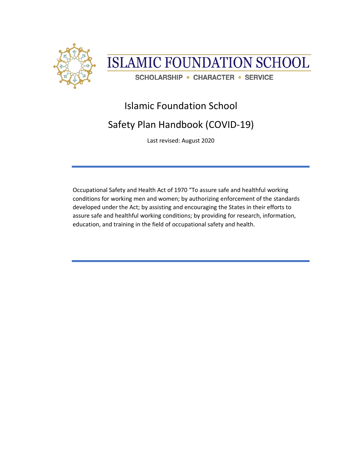



# Islamic Foundation School

# Safety Plan Handbook (COVID-19)

Last revised: August 2020

Occupational Safety and Health Act of 1970 "To assure safe and healthful working conditions for working men and women; by authorizing enforcement of the standards developed under the Act; by assisting and encouraging the States in their efforts to assure safe and healthful working conditions; by providing for research, information, education, and training in the field of occupational safety and health.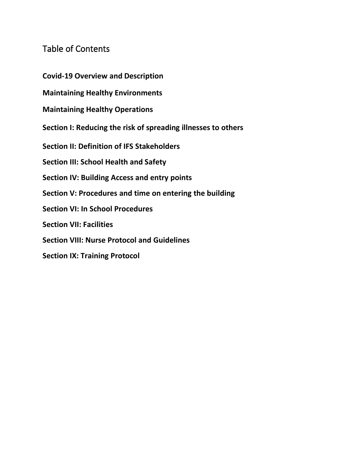## Table of Contents

**Covid-19 Overview and Description**

**Maintaining Healthy Environments**

**Maintaining Healthy Operations**

**Section I: Reducing the risk of spreading illnesses to others**

**Section II: Definition of IFS Stakeholders**

**Section III: School Health and Safety**

**Section IV: Building Access and entry points**

**Section V: Procedures and time on entering the building**

**Section VI: In School Procedures**

**Section VII: Facilities**

**Section VIII: Nurse Protocol and Guidelines**

**Section IX: Training Protocol**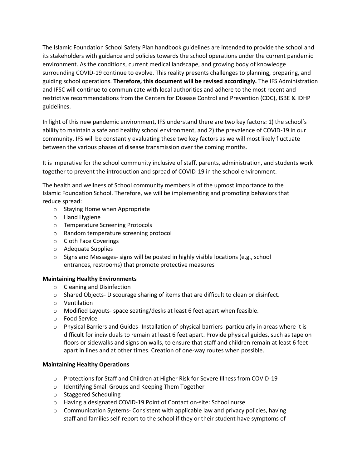The Islamic Foundation School Safety Plan handbook guidelines are intended to provide the school and its stakeholders with guidance and policies towards the school operations under the current pandemic environment. As the conditions, current medical landscape, and growing body of knowledge surrounding COVID-19 continue to evolve. This reality presents challenges to planning, preparing, and guiding school operations. **Therefore, this document will be revised accordingly.** The IFS Administration and IFSC will continue to communicate with local authorities and adhere to the most recent and restrictive recommendations from the Centers for Disease Control and Prevention (CDC), ISBE & IDHP guidelines.

In light of this new pandemic environment, IFS understand there are two key factors: 1) the school's ability to maintain a safe and healthy school environment, and 2) the prevalence of COVID-19 in our community. IFS will be constantly evaluating these two key factors as we will most likely fluctuate between the various phases of disease transmission over the coming months.

It is imperative for the school community inclusive of staff, parents, administration, and students work together to prevent the introduction and spread of COVID-19 in the school environment.

The health and wellness of School community members is of the upmost importance to the Islamic Foundation School. Therefore, we will be implementing and promoting behaviors that reduce spread:

- o Staying Home when Appropriate
- o Hand Hygiene
- o Temperature Screening Protocols
- o Random temperature screening protocol
- o Cloth Face Coverings
- o Adequate Supplies
- o Signs and Messages- signs will be posted in highly visible locations (e.g., school entrances, restrooms) that promote protective measures

## **Maintaining Healthy Environments**

- o Cleaning and Disinfection
- $\circ$  Shared Objects- Discourage sharing of items that are difficult to clean or disinfect.
- o Ventilation
- o Modified Layouts- space seating/desks at least 6 feet apart when feasible.
- o Food Service
- $\circ$  Physical Barriers and Guides- Installation of physical barriers particularly in areas where it is difficult for individuals to remain at least 6 feet apart. Provide physical guides, such as tape on floors or sidewalks and signs on walls, to ensure that staff and children remain at least 6 feet apart in lines and at other times. Creation of one-way routes when possible.

## **Maintaining Healthy Operations**

- o Protections for Staff and Children at Higher Risk for Severe Illness from COVID-19
- o Identifying Small Groups and Keeping Them Together
- o Staggered Scheduling
- o Having a designated COVID-19 Point of Contact on-site: School nurse
- o Communication Systems- Consistent with applicable law and privacy policies, having staff and families self-report to the school if they or their student have symptoms of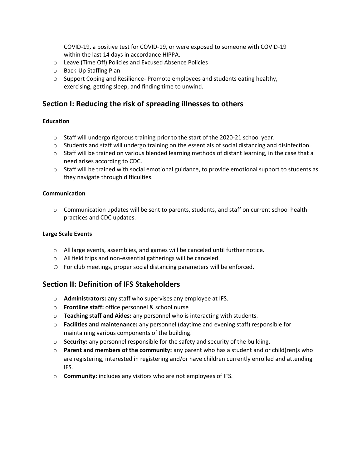COVID-19, a positive test for COVID-19, or were exposed to someone with COVID-19 within the last 14 days in accordance HIPPA.

- o Leave (Time Off) Policies and Excused Absence Policies
- o Back-Up Staffing Plan
- $\circ$  Support Coping and Resilience- Promote employees and students eating healthy, exercising, getting sleep, and finding time to unwind.

## **Section I: Reducing the risk of spreading illnesses to others**

## **Education**

- $\circ$  Staff will undergo rigorous training prior to the start of the 2020-21 school year.
- $\circ$  Students and staff will undergo training on the essentials of social distancing and disinfection.
- $\circ$  Staff will be trained on various blended learning methods of distant learning, in the case that a need arises according to CDC.
- $\circ$  Staff will be trained with social emotional guidance, to provide emotional support to students as they navigate through difficulties.

### **Communication**

 $\circ$  Communication updates will be sent to parents, students, and staff on current school health practices and CDC updates.

#### **Large Scale Events**

- o All large events, assemblies, and games will be canceled until further notice.
- o All field trips and non-essential gatherings will be canceled.
- o For club meetings, proper social distancing parameters will be enforced.

## **Section II: Definition of IFS Stakeholders**

- o **Administrators:** any staff who supervises any employee at IFS.
- o **Frontline staff:** office personnel & school nurse
- o **Teaching staff and Aides:** any personnel who is interacting with students.
- o **Facilities and maintenance:** any personnel (daytime and evening staff) responsible for maintaining various components of the building.
- o **Security:** any personnel responsible for the safety and security of the building.
- o **Parent and members of the community:** any parent who has a student and or child(ren)s who are registering, interested in registering and/or have children currently enrolled and attending IFS.
- o **Community:** includes any visitors who are not employees of IFS.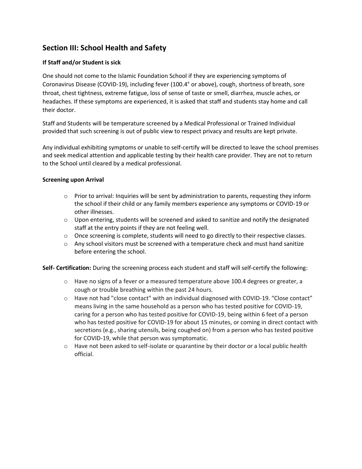## **Section III: School Health and Safety**

## **If Staff and/or Student is sick**

One should not come to the Islamic Foundation School if they are experiencing symptoms of Coronavirus Disease (COVID-19), including fever (100.4° or above), cough, shortness of breath, sore throat, chest tightness, extreme fatigue, loss of sense of taste or smell, diarrhea, muscle aches, or headaches. If these symptoms are experienced, it is asked that staff and students stay home and call their doctor.

Staff and Students will be temperature screened by a Medical Professional or Trained Individual provided that such screening is out of public view to respect privacy and results are kept private.

Any individual exhibiting symptoms or unable to self-certify will be directed to leave the school premises and seek medical attention and applicable testing by their health care provider. They are not to return to the School until cleared by a medical professional.

## **Screening upon Arrival**

- $\circ$  Prior to arrival: Inquiries will be sent by administration to parents, requesting they inform the school if their child or any family members experience any symptoms or COVID-19 or other illnesses.
- $\circ$  Upon entering, students will be screened and asked to sanitize and notify the designated staff at the entry points if they are not feeling well.
- $\circ$  Once screening is complete, students will need to go directly to their respective classes.
- $\circ$  Any school visitors must be screened with a temperature check and must hand sanitize before entering the school.

**Self- Certification:** During the screening process each student and staff will self-certify the following:

- $\circ$  Have no signs of a fever or a measured temperature above 100.4 degrees or greater, a cough or trouble breathing within the past 24 hours.
- $\circ$  Have not had "close contact" with an individual diagnosed with COVID-19. "Close contact" means living in the same household as a person who has tested positive for COVID-19, caring for a person who has tested positive for COVID-19, being within 6 feet of a person who has tested positive for COVID-19 for about 15 minutes, or coming in direct contact with secretions (e.g., sharing utensils, being coughed on) from a person who has tested positive for COVID-19, while that person was symptomatic.
- $\circ$  Have not been asked to self-isolate or quarantine by their doctor or a local public health official.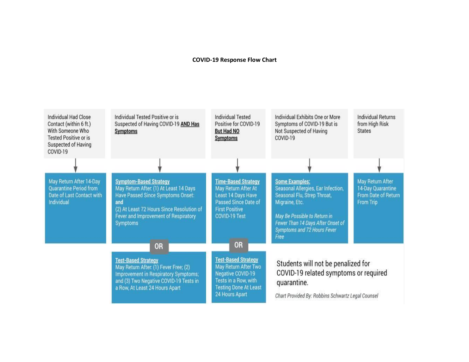#### **COVID-19 Response Flow Chart**

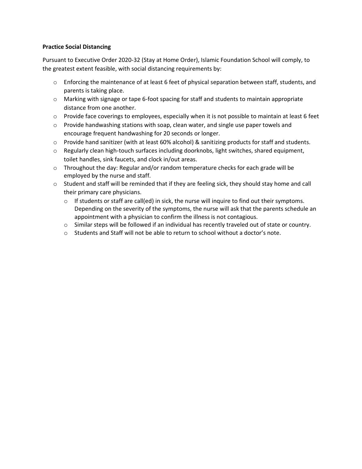## **Practice Social Distancing**

Pursuant to Executive Order 2020-32 (Stay at Home Order), Islamic Foundation School will comply, to the greatest extent feasible, with social distancing requirements by:

- $\circ$  Enforcing the maintenance of at least 6 feet of physical separation between staff, students, and parents is taking place.
- o Marking with signage or tape 6-foot spacing for staff and students to maintain appropriate distance from one another.
- o Provide face coverings to employees, especially when it is not possible to maintain at least 6 feet
- $\circ$  Provide handwashing stations with soap, clean water, and single use paper towels and encourage frequent handwashing for 20 seconds or longer.
- o Provide hand sanitizer (with at least 60% alcohol) & sanitizing products for staff and students.
- o Regularly clean high-touch surfaces including doorknobs, light switches, shared equipment, toilet handles, sink faucets, and clock in/out areas.
- $\circ$  Throughout the day: Regular and/or random temperature checks for each grade will be employed by the nurse and staff.
- $\circ$  Student and staff will be reminded that if they are feeling sick, they should stay home and call their primary care physicians.
	- o If students or staff are call(ed) in sick, the nurse will inquire to find out their symptoms. Depending on the severity of the symptoms, the nurse will ask that the parents schedule an appointment with a physician to confirm the illness is not contagious.
	- o Similar steps will be followed if an individual has recently traveled out of state or country.
	- $\circ$  Students and Staff will not be able to return to school without a doctor's note.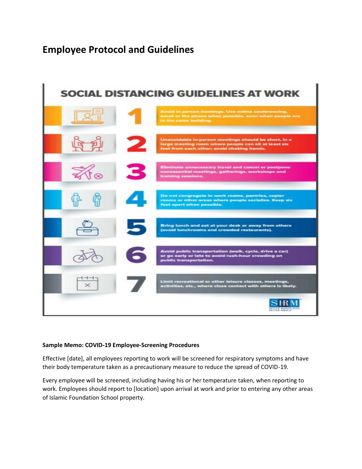## **Employee Protocol and Guidelines**



## **Sample Memo: COVID-19 Employee-Screening Procedures**

Effective [date], all employees reporting to work will be screened for respiratory symptoms and have their body temperature taken as a precautionary measure to reduce the spread of COVID-19.

Every employee will be screened, including having his or her temperature taken, when reporting to work. Employees should report to [location] upon arrival at work and prior to entering any other areas of Islamic Foundation School property.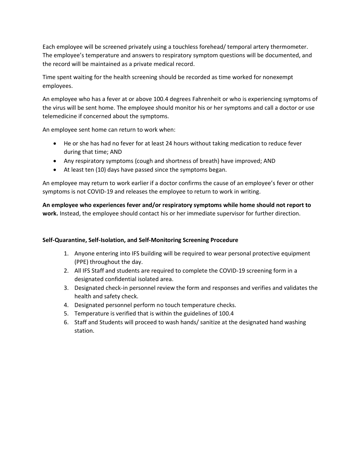Each employee will be screened privately using a touchless forehead/ temporal artery thermometer. The employee's temperature and answers to respiratory symptom questions will be documented, and the record will be maintained as a private medical record.

Time spent waiting for the health screening should be recorded as time worked for nonexempt employees.

An employee who has a fever at or above 100.4 degrees Fahrenheit or who is experiencing symptoms of the virus will be sent home. The employee should monitor his or her symptoms and call a doctor or use telemedicine if concerned about the symptoms.

An employee sent home can return to work when:

- He or she has had no fever for at least 24 hours without taking medication to reduce fever during that time; AND
- Any respiratory symptoms (cough and shortness of breath) have improved; AND
- At least ten (10) days have passed since the symptoms began.

An employee may return to work earlier if a doctor confirms the cause of an employee's fever or other symptoms is not COVID-19 and releases the employee to return to work in writing.

**An employee who experiences fever and/or respiratory symptoms while home should not report to work.** Instead, the employee should contact his or her immediate supervisor for further direction.

## **Self-Quarantine, Self-Isolation, and Self-Monitoring Screening Procedure**

- 1. Anyone entering into IFS building will be required to wear personal protective equipment (PPE) throughout the day.
- 2. All IFS Staff and students are required to complete the COVID-19 screening form in a designated confidential isolated area.
- 3. Designated check-in personnel review the form and responses and verifies and validates the health and safety check.
- 4. Designated personnel perform no touch temperature checks.
- 5. Temperature is verified that is within the guidelines of 100.4
- 6. Staff and Students will proceed to wash hands/ sanitize at the designated hand washing station.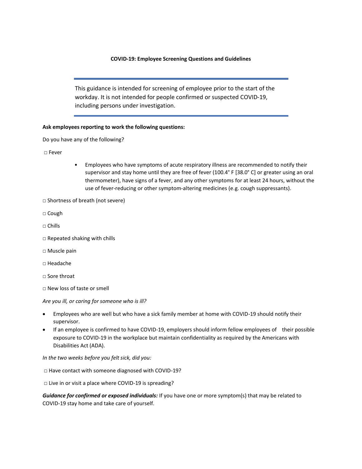#### **COVID-19: Employee Screening Questions and Guidelines**

This guidance is intended for screening of employee prior to the start of the workday. It is not intended for people confirmed or suspected COVID-19, including persons under investigation.

#### **Ask employees reporting to work the following questions:**

Do you have any of the following?

□ Fever

- Employees who have symptoms of acute respiratory illness are recommended to notify their supervisor and stay home until they are free of fever (100.4° F [38.0° C] or greater using an oral thermometer), have signs of a fever, and any other symptoms for at least 24 hours, without the use of fever-reducing or other symptom-altering medicines (e.g. cough suppressants).
- □ Shortness of breath (not severe)
- □ Cough
- □ Chills
- □ Repeated shaking with chills
- □ Muscle pain
- □ Headache
- □ Sore throat
- □ New loss of taste or smell

#### *Are you ill, or caring for someone who is ill?*

- Employees who are well but who have a sick family member at home with COVID-19 should notify their supervisor.
- If an employee is confirmed to have COVID-19, employers should inform fellow employees of their possible exposure to COVID-19 in the workplace but maintain confidentiality as required by the Americans with Disabilities Act (ADA).

*In the two weeks before you felt sick, did you:*

□ Have contact with someone diagnosed with COVID-19?

□ Live in or visit a place where COVID-19 is spreading?

*Guidance for confirmed or exposed individuals:* If you have one or more symptom(s) that may be related to COVID-19 stay home and take care of yourself.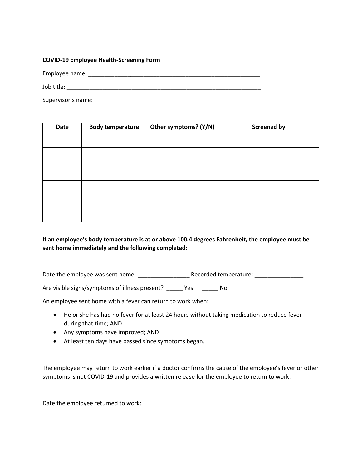#### **COVID-19 Employee Health-Screening Form**

Employee name: \_\_\_\_\_\_\_\_\_\_\_\_\_\_\_\_\_\_\_\_\_\_\_\_\_\_\_\_\_\_\_\_\_\_\_\_\_\_\_\_\_\_\_\_\_\_\_\_\_\_\_\_\_ Job title: \_\_\_\_\_\_\_\_\_\_\_\_\_\_\_\_\_\_\_\_\_\_\_\_\_\_\_\_\_\_\_\_\_\_\_\_\_\_\_\_\_\_\_\_\_\_\_\_\_\_\_\_\_\_\_\_\_\_\_\_

Supervisor's name: \_\_\_\_\_\_\_\_\_\_\_\_\_\_\_\_\_\_\_\_\_\_\_\_\_\_\_\_\_\_\_\_\_\_\_\_\_\_\_\_\_\_\_\_\_\_\_\_\_\_\_

| Date | <b>Body temperature</b> | Other symptoms? (Y/N) | <b>Screened by</b> |
|------|-------------------------|-----------------------|--------------------|
|      |                         |                       |                    |
|      |                         |                       |                    |
|      |                         |                       |                    |
|      |                         |                       |                    |
|      |                         |                       |                    |
|      |                         |                       |                    |
|      |                         |                       |                    |
|      |                         |                       |                    |
|      |                         |                       |                    |
|      |                         |                       |                    |
|      |                         |                       |                    |

## **If an employee's body temperature is at or above 100.4 degrees Fahrenheit, the employee must be sent home immediately and the following completed:**

Date the employee was sent home: \_\_\_\_\_\_\_\_\_\_\_\_\_\_\_\_ Recorded temperature: \_\_\_\_\_\_\_\_\_\_\_\_\_\_\_

Are visible signs/symptoms of illness present? \_\_\_\_\_ Yes \_\_\_\_\_\_ No

An employee sent home with a fever can return to work when:

- He or she has had no fever for at least 24 hours without taking medication to reduce fever during that time; AND
- Any symptoms have improved; AND
- At least ten days have passed since symptoms began.

The employee may return to work earlier if a doctor confirms the cause of the employee's fever or other symptoms is not COVID-19 and provides a written release for the employee to return to work.

Date the employee returned to work: \_\_\_\_\_\_\_\_\_\_\_\_\_\_\_\_\_\_\_\_\_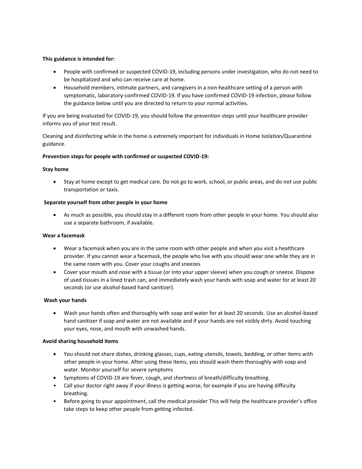#### **This guidance is intended for:**

- People with confirmed or suspected COVID-19, including persons under investigation, who do not need to be hospitalized and who can receive care at home.
- Household members, intimate partners, and caregivers in a non-healthcare setting of a person with symptomatic, laboratory-confirmed COVID-19. If you have confirmed COVID-19 infection, please follow the guidance below until you are directed to return to your normal activities.

If you are being evaluated for COVID-19, you should follow the prevention steps until your healthcare provider informs you of your test result.

Cleaning and disinfecting while in the home is extremely important for individuals in Home Isolation/Quarantine guidance.

#### **Prevention steps for people with confirmed or suspected COVID-19:**

#### **Stay home**

• Stay at home except to get medical care. Do not go to work, school, or public areas, and do not use public transportation or taxis.

#### **Separate yourself from other people in your home**

• As much as possible, you should stay in a different room from other people in your home. You should also use a separate bathroom, if available.

#### **Wear a facemask**

- Wear a facemask when you are in the same room with other people and when you visit a healthcare provider. If you cannot wear a facemask, the people who live with you should wear one while they are in the same room with you. Cover your coughs and sneezes
- Cover your mouth and nose with a tissue (or into your upper sleeve) when you cough or sneeze. Dispose of used tissues in a lined trash can, and immediately wash your hands with soap and water for at least 20 seconds (or use alcohol-based hand sanitizer).

#### **Wash your hands**

• Wash your hands often and thoroughly with soap and water for at least 20 seconds. Use an alcohol-based hand sanitizer if soap and water are not available and if your hands are not visibly dirty. Avoid touching your eyes, nose, and mouth with unwashed hands.

#### **Avoid sharing household items**

- You should not share dishes, drinking glasses, cups, eating utensils, towels, bedding, or other items with other people in your home. After using these items, you should wash them thoroughly with soap and water. Monitor yourself for severe symptoms
- Symptoms of COVID-19 are fever, cough, and shortness of breath/difficulty breathing.
- Call your doctor right away if your illness is getting worse, for example if you are having difficulty breathing.
- Before going to your appointment, call the medical provider This will help the healthcare provider's office take steps to keep other people from getting infected.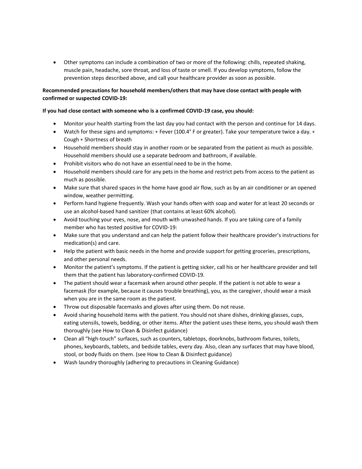• Other symptoms can include a combination of two or more of the following: chills, repeated shaking, muscle pain, headache, sore throat, and loss of taste or smell. If you develop symptoms, follow the prevention steps described above, and call your healthcare provider as soon as possible.

#### **Recommended precautions for household members/others that may have close contact with people with confirmed or suspected COVID-19:**

#### **If you had close contact with someone who is a confirmed COVID-19 case, you should:**

- Monitor your health starting from the last day you had contact with the person and continue for 14 days.
- Watch for these signs and symptoms: ∗ Fever (100.4° F or greater). Take your temperature twice a day. ∗ Cough ∗ Shortness of breath
- Household members should stay in another room or be separated from the patient as much as possible. Household members should use a separate bedroom and bathroom, if available.
- Prohibit visitors who do not have an essential need to be in the home.
- Household members should care for any pets in the home and restrict pets from access to the patient as much as possible.
- Make sure that shared spaces in the home have good air flow, such as by an air conditioner or an opened window, weather permitting.
- Perform hand hygiene frequently. Wash your hands often with soap and water for at least 20 seconds or use an alcohol-based hand sanitizer (that contains at least 60% alcohol).
- Avoid touching your eyes, nose, and mouth with unwashed hands. If you are taking care of a family member who has tested positive for COVID-19:
- Make sure that you understand and can help the patient follow their healthcare provider's instructions for medication(s) and care.
- Help the patient with basic needs in the home and provide support for getting groceries, prescriptions, and other personal needs.
- Monitor the patient's symptoms. If the patient is getting sicker, call his or her healthcare provider and tell them that the patient has laboratory-confirmed COVID-19.
- The patient should wear a facemask when around other people. If the patient is not able to wear a facemask (for example, because it causes trouble breathing), you, as the caregiver, should wear a mask when you are in the same room as the patient.
- Throw out disposable facemasks and gloves after using them. Do not reuse.
- Avoid sharing household items with the patient. You should not share dishes, drinking glasses, cups, eating utensils, towels, bedding, or other items. After the patient uses these items, you should wash them thoroughly (see How to Clean & Disinfect guidance)
- Clean all "high-touch" surfaces, such as counters, tabletops, doorknobs, bathroom fixtures, toilets, phones, keyboards, tablets, and bedside tables, every day. Also, clean any surfaces that may have blood, stool, or body fluids on them. (see How to Clean & Disinfect guidance)
- Wash laundry thoroughly (adhering to precautions in Cleaning Guidance)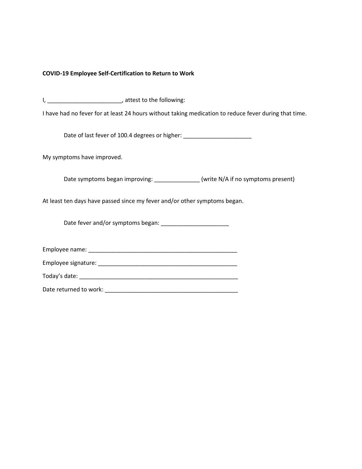#### **COVID-19 Employee Self-Certification to Return to Work**

I, \_\_\_\_\_\_\_\_\_\_\_\_\_\_\_\_\_\_\_\_\_\_\_\_\_\_\_, attest to the following:

I have had no fever for at least 24 hours without taking medication to reduce fever during that time.

Date of last fever of 100.4 degrees or higher:

My symptoms have improved.

Date symptoms began improving: \_\_\_\_\_\_\_\_\_\_\_\_\_\_\_ (write N/A if no symptoms present)

At least ten days have passed since my fever and/or other symptoms began.

Date fever and/or symptoms began:

Employee name: \_\_\_\_\_\_\_\_\_\_\_\_\_\_\_\_\_\_\_\_\_\_\_\_\_\_\_\_\_\_\_\_\_\_\_\_\_\_\_\_\_\_\_\_\_\_

Employee signature: \_\_\_\_\_\_\_\_\_\_\_\_\_\_\_\_\_\_\_\_\_\_\_\_\_\_\_\_\_\_\_\_\_\_\_\_\_\_\_\_\_\_\_

Today's date: \_\_\_\_\_\_\_\_\_\_\_\_\_\_\_\_\_\_\_\_\_\_\_\_\_\_\_\_\_\_\_\_\_\_\_\_\_\_\_\_\_\_\_\_\_\_\_\_\_

Date returned to work: \_\_\_\_\_\_\_\_\_\_\_\_\_\_\_\_\_\_\_\_\_\_\_\_\_\_\_\_\_\_\_\_\_\_\_\_\_\_\_\_\_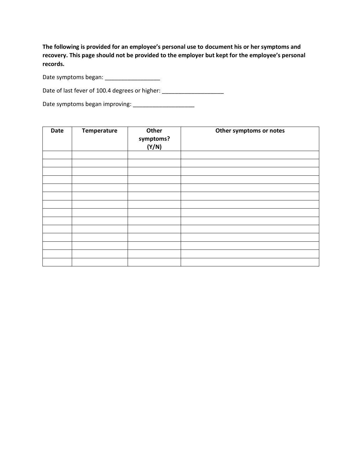**The following is provided for an employee's personal use to document his or her symptoms and recovery. This page should not be provided to the employer but kept for the employee's personal records.** 

Date symptoms began: \_\_\_\_\_\_\_\_\_\_\_\_\_\_\_\_\_

Date of last fever of 100.4 degrees or higher: \_\_\_\_\_\_\_\_\_\_\_\_\_\_\_\_\_\_\_\_\_\_\_\_\_\_\_\_\_\_\_\_\_\_

Date symptoms began improving: \_\_\_\_\_\_\_\_\_\_\_\_\_\_\_\_\_\_\_

| Date | Temperature | Other<br>symptoms?<br>(Y/N) | Other symptoms or notes |
|------|-------------|-----------------------------|-------------------------|
|      |             |                             |                         |
|      |             |                             |                         |
|      |             |                             |                         |
|      |             |                             |                         |
|      |             |                             |                         |
|      |             |                             |                         |
|      |             |                             |                         |
|      |             |                             |                         |
|      |             |                             |                         |
|      |             |                             |                         |
|      |             |                             |                         |
|      |             |                             |                         |
|      |             |                             |                         |
|      |             |                             |                         |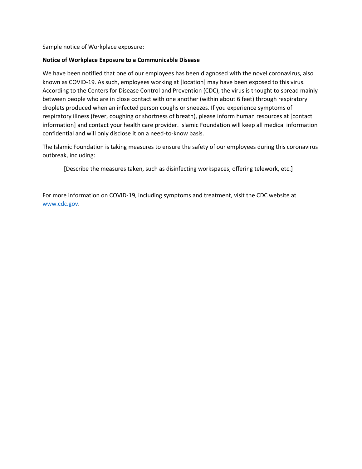Sample notice of Workplace exposure:

## **Notice of Workplace Exposure to a Communicable Disease**

We have been notified that one of our employees has been diagnosed with the novel coronavirus, also known as COVID-19. As such, employees working at [location] may have been exposed to this virus. According to the Centers for Disease Control and Prevention (CDC), the virus is thought to spread mainly between people who are in close contact with one another (within about 6 feet) through respiratory droplets produced when an infected person coughs or sneezes. If you experience symptoms of respiratory illness (fever, coughing or shortness of breath), please inform human resources at [contact information] and contact your health care provider. Islamic Foundation will keep all medical information confidential and will only disclose it on a need-to-know basis.

The Islamic Foundation is taking measures to ensure the safety of our employees during this coronavirus outbreak, including:

[Describe the measures taken, such as disinfecting workspaces, offering telework, etc.]

For more information on COVID-19, including symptoms and treatment, visit the CDC website at [www.cdc.gov.](http://www.cdc.gov/)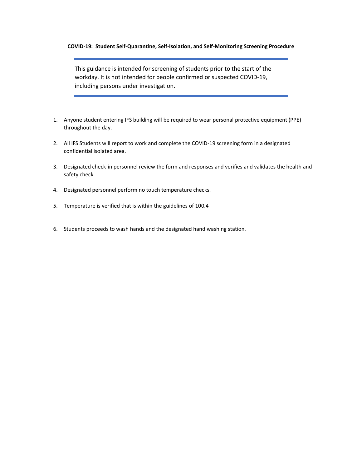#### **COVID-19: Student Self-Quarantine, Self-Isolation, and Self-Monitoring Screening Procedure**

This guidance is intended for screening of students prior to the start of the workday. It is not intended for people confirmed or suspected COVID-19, including persons under investigation.

- 1. Anyone student entering IFS building will be required to wear personal protective equipment (PPE) throughout the day.
- 2. All IFS Students will report to work and complete the COVID-19 screening form in a designated confidential isolated area.
- 3. Designated check-in personnel review the form and responses and verifies and validates the health and safety check.
- 4. Designated personnel perform no touch temperature checks.
- 5. Temperature is verified that is within the guidelines of 100.4
- 6. Students proceeds to wash hands and the designated hand washing station.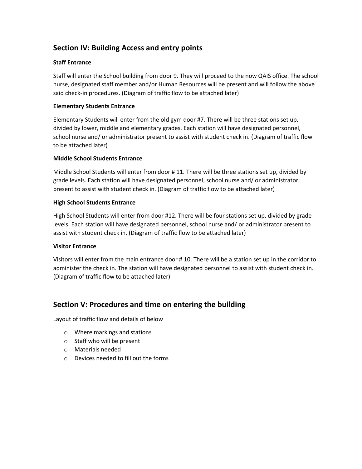## **Section IV: Building Access and entry points**

## **Staff Entrance**

Staff will enter the School building from door 9. They will proceed to the now QAIS office. The school nurse, designated staff member and/or Human Resources will be present and will follow the above said check-in procedures. (Diagram of traffic flow to be attached later)

## **Elementary Students Entrance**

Elementary Students will enter from the old gym door #7. There will be three stations set up, divided by lower, middle and elementary grades. Each station will have designated personnel, school nurse and/ or administrator present to assist with student check in. (Diagram of traffic flow to be attached later)

## **Middle School Students Entrance**

Middle School Students will enter from door # 11. There will be three stations set up, divided by grade levels. Each station will have designated personnel, school nurse and/ or administrator present to assist with student check in. (Diagram of traffic flow to be attached later)

## **High School Students Entrance**

High School Students will enter from door #12. There will be four stations set up, divided by grade levels. Each station will have designated personnel, school nurse and/ or administrator present to assist with student check in. (Diagram of traffic flow to be attached later)

## **Visitor Entrance**

Visitors will enter from the main entrance door # 10. There will be a station set up in the corridor to administer the check in. The station will have designated personnel to assist with student check in. (Diagram of traffic flow to be attached later)

## **Section V: Procedures and time on entering the building**

Layout of traffic flow and details of below

- o Where markings and stations
- o Staff who will be present
- o Materials needed
- o Devices needed to fill out the forms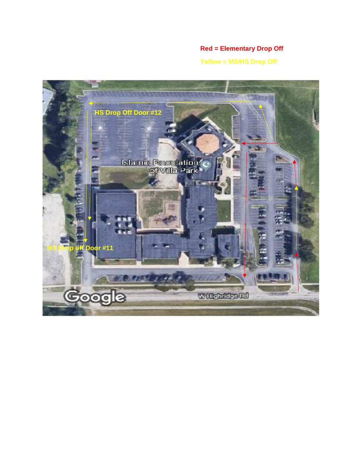## **Red = Elementary Drop Off**

**Yellow = MS/HS Drop Off**

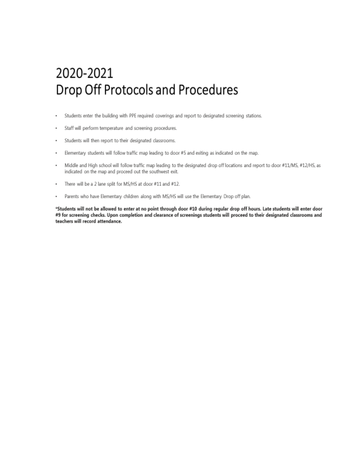# 2020-2021 Drop Off Protocols and Procedures

- Students enter the building with PPE required coverings and report to designated screening stations.  $\blacksquare$
- Staff will perform temperature and screening procedures. .
- Students will then report to their designated classrooms.  $\blacksquare$
- Elementary students will follow traffic map leading to door #5 and exiting as indicated on the map.  $\blacksquare$
- Middle and High school will follow traffic map leading to the designated drop off locations and report to door #11/MS, #12/HS, as  $\cdot$ indicated on the map and proceed out the southwest exit.
- $\blacksquare$ There will be a 2 lane split for MS/HS at door #11 and #12.
- Parents who have Elementary children along with MS/HS will use the Elementary Drop off plan. ı

\*Students will not be allowed to enter at no point through door #10 during regular drop off hours. Late students will enter door #9 for screening checks. Upon completion and clearance of screenings students will proceed to their designated classrooms and teachers will record attendance.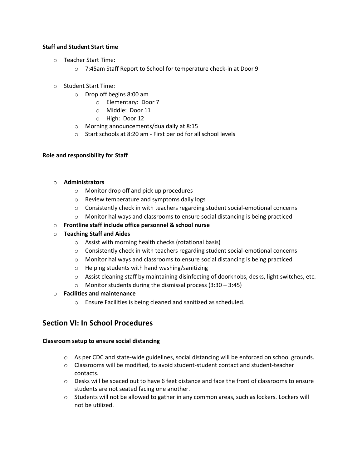## **Staff and Student Start time**

- o Teacher Start Time:
	- o 7:45am Staff Report to School for temperature check-in at Door 9
- o Student Start Time:
	- o Drop off begins 8:00 am
		- o Elementary: Door 7
		- o Middle: Door 11
		- o High: Door 12
	- o Morning announcements/dua daily at 8:15
	- o Start schools at 8:20 am First period for all school levels

## **Role and responsibility for Staff**

## o **Administrators**

- o Monitor drop off and pick up procedures
- o Review temperature and symptoms daily logs
- $\circ$  Consistently check in with teachers regarding student social-emotional concerns
- o Monitor hallways and classrooms to ensure social distancing is being practiced
- o **Frontline staff include office personnel & school nurse**
- o **Teaching Staff and Aides** 
	- o Assist with morning health checks (rotational basis)
	- $\circ$  Consistently check in with teachers regarding student social-emotional concerns
	- $\circ$  Monitor hallways and classrooms to ensure social distancing is being practiced
	- o Helping students with hand washing/sanitizing
	- $\circ$  Assist cleaning staff by maintaining disinfecting of doorknobs, desks, light switches, etc.
	- $\circ$  Monitor students during the dismissal process (3:30 3:45)

## o **Facilities and maintenance**

o Ensure Facilities is being cleaned and sanitized as scheduled.

## **Section VI: In School Procedures**

## **Classroom setup to ensure social distancing**

- o As per CDC and state-wide guidelines, social distancing will be enforced on school grounds.
- $\circ$  Classrooms will be modified, to avoid student-student contact and student-teacher contacts.
- $\circ$  Desks will be spaced out to have 6 feet distance and face the front of classrooms to ensure students are not seated facing one another.
- o Students will not be allowed to gather in any common areas, such as lockers. Lockers will not be utilized.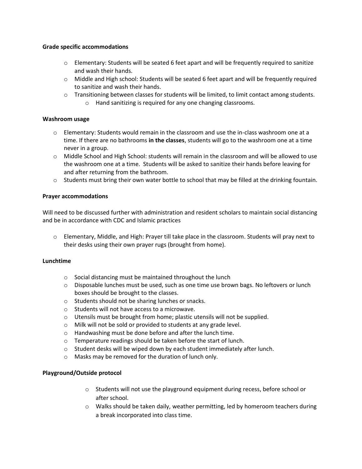#### **Grade specific accommodations**

- $\circ$  Elementary: Students will be seated 6 feet apart and will be frequently required to sanitize and wash their hands.
- $\circ$  Middle and High school: Students will be seated 6 feet apart and will be frequently required to sanitize and wash their hands.
- o Transitioning between classes for students will be limited, to limit contact among students.
	- o Hand sanitizing is required for any one changing classrooms.

### **Washroom usage**

- $\circ$  Elementary: Students would remain in the classroom and use the in-class washroom one at a time. If there are no bathrooms **in the classes**, students will go to the washroom one at a time never in a group.
- o Middle School and High School: students will remain in the classroom and will be allowed to use the washroom one at a time. Students will be asked to sanitize their hands before leaving for and after returning from the bathroom.
- $\circ$  Students must bring their own water bottle to school that may be filled at the drinking fountain.

#### **Prayer accommodations**

Will need to be discussed further with administration and resident scholars to maintain social distancing and be in accordance with CDC and Islamic practices

o Elementary, Middle, and High: Prayer till take place in the classroom. Students will pray next to their desks using their own prayer rugs (brought from home).

#### **Lunchtime**

- o Social distancing must be maintained throughout the lunch
- $\circ$  Disposable lunches must be used, such as one time use brown bags. No leftovers or lunch boxes should be brought to the classes.
- o Students should not be sharing lunches or snacks.
- o Students will not have access to a microwave.
- $\circ$  Utensils must be brought from home; plastic utensils will not be supplied.
- o Milk will not be sold or provided to students at any grade level.
- o Handwashing must be done before and after the lunch time.
- o Temperature readings should be taken before the start of lunch.
- o Student desks will be wiped down by each student immediately after lunch.
- o Masks may be removed for the duration of lunch only.

## **Playground/Outside protocol**

- $\circ$  Students will not use the playground equipment during recess, before school or after school.
- $\circ$  Walks should be taken daily, weather permitting, led by homeroom teachers during a break incorporated into class time.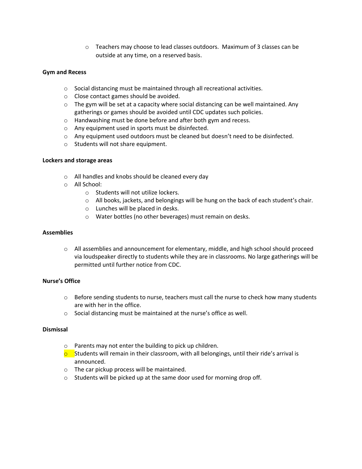$\circ$  Teachers may choose to lead classes outdoors. Maximum of 3 classes can be outside at any time, on a reserved basis.

#### **Gym and Recess**

- o Social distancing must be maintained through all recreational activities.
- o Close contact games should be avoided.
- $\circ$  The gym will be set at a capacity where social distancing can be well maintained. Any gatherings or games should be avoided until CDC updates such policies.
- o Handwashing must be done before and after both gym and recess.
- o Any equipment used in sports must be disinfected.
- $\circ$  Any equipment used outdoors must be cleaned but doesn't need to be disinfected.
- o Students will not share equipment.

#### **Lockers and storage areas**

- o All handles and knobs should be cleaned every day
- o All School:
	- o Students will not utilize lockers.
	- o All books, jackets, and belongings will be hung on the back of each student's chair.
	- o Lunches will be placed in desks.
	- o Water bottles (no other beverages) must remain on desks.

#### **Assemblies**

o All assemblies and announcement for elementary, middle, and high school should proceed via loudspeaker directly to students while they are in classrooms. No large gatherings will be permitted until further notice from CDC.

## **Nurse's Office**

- $\circ$  Before sending students to nurse, teachers must call the nurse to check how many students are with her in the office.
- o Social distancing must be maintained at the nurse's office as well.

## **Dismissal**

- o Parents may not enter the building to pick up children.
- $\circ$  Students will remain in their classroom, with all belongings, until their ride's arrival is announced.
- o The car pickup process will be maintained.
- o Students will be picked up at the same door used for morning drop off.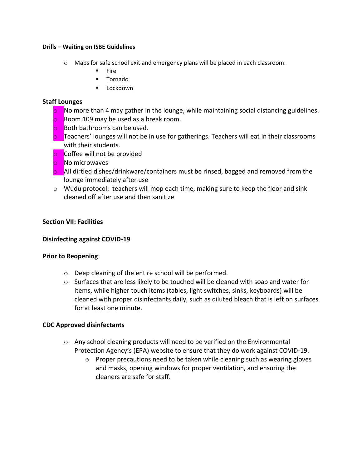## **Drills – Waiting on ISBE Guidelines**

- $\circ$  Maps for safe school exit and emergency plans will be placed in each classroom.
	- Fire
	- Tornado
	- Lockdown

## **Staff Lounges**

- **o** No more than 4 may gather in the lounge, while maintaining social distancing guidelines.
- **o** Room 109 may be used as a break room.
- **o** Both bathrooms can be used.
- **o** Teachers' lounges will not be in use for gatherings. Teachers will eat in their classrooms with their students.
- **o** Coffee will not be provided
- o No microwaves
- **o** All dirtied dishes/drinkware/containers must be rinsed, bagged and removed from the lounge immediately after use
- o Wudu protocol: teachers will mop each time, making sure to keep the floor and sink cleaned off after use and then sanitize

## **Section VII: Facilities**

## **Disinfecting against COVID-19**

## **Prior to Reopening**

- o Deep cleaning of the entire school will be performed.
- $\circ$  Surfaces that are less likely to be touched will be cleaned with soap and water for items, while higher touch items (tables, light switches, sinks, keyboards) will be cleaned with proper disinfectants daily, such as diluted bleach that is left on surfaces for at least one minute.

## **CDC Approved disinfectants**

- o Any school cleaning products will need to be verified on the Environmental Protection Agency's (EPA) website to ensure that they do work against COVID-19.
	- $\circ$  Proper precautions need to be taken while cleaning such as wearing gloves and masks, opening windows for proper ventilation, and ensuring the cleaners are safe for staff.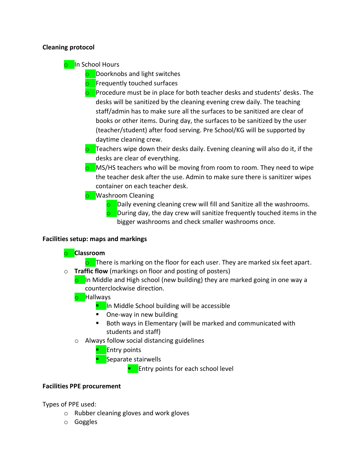## **Cleaning protocol**

o In School Hours

**o** Doorknobs and light switches

- **o** Frequently touched surfaces
- **o** Procedure must be in place for both teacher desks and students' desks. The desks will be sanitized by the cleaning evening crew daily. The teaching staff/admin has to make sure all the surfaces to be sanitized are clear of books or other items. During day, the surfaces to be sanitized by the user (teacher/student) after food serving. Pre School/KG will be supported by daytime cleaning crew.
- $\circ$  Teachers wipe down their desks daily. Evening cleaning will also do it, if the desks are clear of everything.
- **o** MS/HS teachers who will be moving from room to room. They need to wipe the teacher desk after the use. Admin to make sure there is sanitizer wipes container on each teacher desk.
- **o** Washroom Cleaning
	- **o** Daily evening cleaning crew will fill and Sanitize all the washrooms.
	- **o** During day, the day crew will sanitize frequently touched items in the bigger washrooms and check smaller washrooms once.

## **Facilities setup: maps and markings**

## o **Classroom**

- $\circ$  There is marking on the floor for each user. They are marked six feet apart. o **Traffic flow** (markings on floor and posting of posters)
	- **o** In Middle and High school (new building) they are marked going in one way a counterclockwise direction.
	- o Hallways
		- In Middle School building will be accessible
		- One-way in new building
		- Both ways in Elementary (will be marked and communicated with students and staff)
	- o Always follow social distancing guidelines
		- **E**ntry points
		- **E** Separate stairwells
			- **EXECUTE:** Entry points for each school level

## **Facilities PPE procurement**

Types of PPE used:

- o Rubber cleaning gloves and work gloves
- o Goggles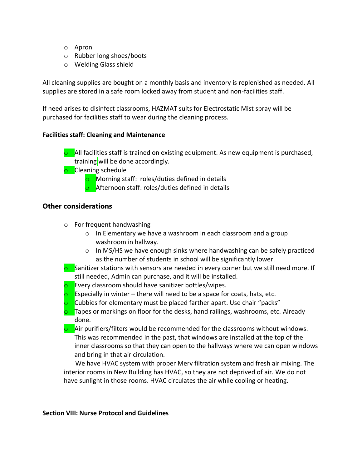- o Apron
- o Rubber long shoes/boots
- o Welding Glass shield

All cleaning supplies are bought on a monthly basis and inventory is replenished as needed. All supplies are stored in a safe room locked away from student and non-facilities staff.

If need arises to disinfect classrooms, HAZMAT suits for Electrostatic Mist spray will be purchased for facilities staff to wear during the cleaning process.

## **Facilities staff: Cleaning and Maintenance**

**o** All facilities staff is trained on existing equipment. As new equipment is purchased, training will be done accordingly.

**o** Cleaning schedule

**o** Morning staff: roles/duties defined in details

**o** Afternoon staff: roles/duties defined in details

## **Other considerations**

- o For frequent handwashing
	- o In Elementary we have a washroom in each classroom and a group washroom in hallway.
	- o In MS/HS we have enough sinks where handwashing can be safely practiced as the number of students in school will be significantly lower.
- $\circ$  Sanitizer stations with sensors are needed in every corner but we still need more. If still needed, Admin can purchase, and it will be installed.
- **o** Every classroom should have sanitizer bottles/wipes.
- $\circ$  Especially in winter there will need to be a space for coats, hats, etc.
- **o** Cubbies for elementary must be placed farther apart. Use chair "packs"
- **o** Tapes or markings on floor for the desks, hand railings, washrooms, etc. Already done.
- **o** Air purifiers/filters would be recommended for the classrooms without windows. This was recommended in the past, that windows are installed at the top of the inner classrooms so that they can open to the hallways where we can open windows and bring in that air circulation.

 We have HVAC system with proper Merv filtration system and fresh air mixing. The interior rooms in New Building has HVAC, so they are not deprived of air. We do not have sunlight in those rooms. HVAC circulates the air while cooling or heating.

## **Section VIII: Nurse Protocol and Guidelines**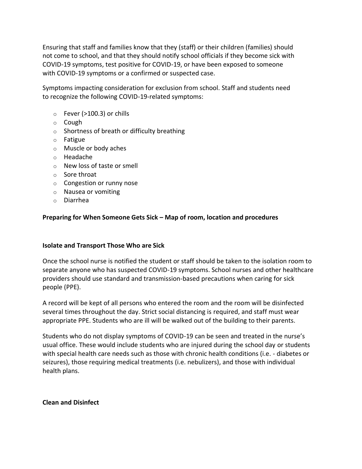Ensuring that staff and families know that they (staff) or their children (families) should not come to school, and that they should notify school officials if they become sick with COVID-19 symptoms, test positive for COVID-19, or have been exposed to someone with COVID-19 symptoms or a confirmed or suspected case.

Symptoms impacting consideration for exclusion from school. Staff and students need to recognize the following COVID-19-related symptoms:

- $\circ$  Fever (>100.3) or chills
- o Cough
- o Shortness of breath or difficulty breathing
- o Fatigue
- o Muscle or body aches
- o Headache
- o New loss of taste or smell
- o Sore throat
- o Congestion or runny nose
- o Nausea or vomiting
- o Diarrhea

## **Preparing for When Someone Gets Sick – Map of room, location and procedures**

## **Isolate and Transport Those Who are Sick**

Once the school nurse is notified the student or staff should be taken to the isolation room to separate anyone who has suspected COVID-19 symptoms. School nurses and other healthcare providers should use standard and transmission-based precautions when caring for sick people (PPE).

A record will be kept of all persons who entered the room and the room will be disinfected several times throughout the day. Strict social distancing is required, and staff must wear appropriate PPE. Students who are ill will be walked out of the building to their parents.

Students who do not display symptoms of COVID-19 can be seen and treated in the nurse's usual office. These would include students who are injured during the school day or students with special health care needs such as those with chronic health conditions (i.e. - diabetes or seizures), those requiring medical treatments (i.e. nebulizers), and those with individual health plans.

## **Clean and Disinfect**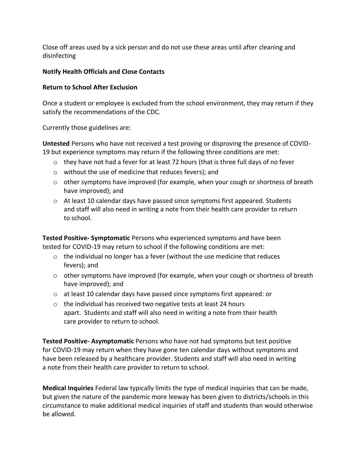Close off areas used by a sick person and do not use these areas until after cleaning and disinfecting

## **Notify Health Officials and Close Contacts**

## **Return to School After Exclusion**

Once a student or employee is excluded from the school environment, they may return if they satisfy the recommendations of the CDC.

Currently those guidelines are:

**Untested** Persons who have not received a test proving or disproving the presence of COVID-19 but experience symptoms may return if the following three conditions are met:

- $\circ$  they have not had a fever for at least 72 hours (that is three full days of no fever
- o without the use of medicine that reduces fevers); and
- o other symptoms have improved (for example, when your cough or shortness of breath have improved); and
- $\circ$  At least 10 calendar days have passed since symptoms first appeared. Students and staff will also need in writing a note from their health care provider to return to school.

**Tested Positive- Symptomatic** Persons who experienced symptoms and have been tested for COVID-19 may return to school if the following conditions are met:

- $\circ$  the individual no longer has a fever (without the use medicine that reduces fevers); and
- $\circ$  other symptoms have improved (for example, when your cough or shortness of breath have improved); and
- o at least 10 calendar days have passed since symptoms first appeared: or
- o the individual has received two negative tests at least 24 hours apart. Students and staff will also need in writing a note from their health care provider to return to school.

**Tested Positive- Asymptomatic** Persons who have not had symptoms but test positive for COVID-19 may return when they have gone ten calendar days without symptoms and have been released by a healthcare provider. Students and staff will also need in writing a note from their health care provider to return to school.

**Medical Inquiries** Federal law typically limits the type of medical inquiries that can be made, but given the nature of the pandemic more leeway has been given to districts/schools in this circumstance to make additional medical inquiries of staff and students than would otherwise be allowed.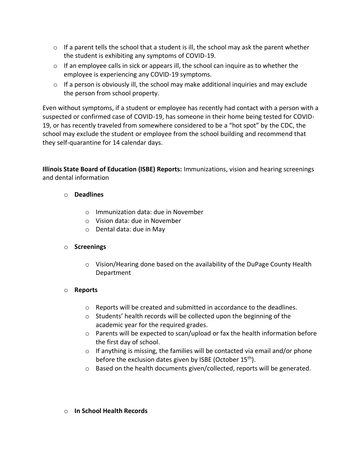- $\circ$  If a parent tells the school that a student is ill, the school may ask the parent whether the student is exhibiting any symptoms of COVID-19.
- $\circ$  If an employee calls in sick or appears ill, the school can inquire as to whether the employee is experiencing any COVID-19 symptoms.
- o If a person is obviously ill, the school may make additional inquiries and may exclude the person from school property.

Even without symptoms, if a student or employee has recently had contact with a person with a suspected or confirmed case of COVID-19, has someone in their home being tested for COVID-19, or has recently traveled from somewhere considered to be a "hot spot" by the CDC, the school may exclude the student or employee from the school building and recommend that they self-quarantine for 14 calendar days.

**Illinois State Board of Education (ISBE) Reports:** Immunizations, vision and hearing screenings and dental information

## o **Deadlines**

- o Immunization data: due in November
- o Vision data: due in November
- o Dental data: due in May

## o **Screenings**

 $\circ$  Vision/Hearing done based on the availability of the DuPage County Health Department

## o **Reports**

- $\circ$  Reports will be created and submitted in accordance to the deadlines.
- o Students' health records will be collected upon the beginning of the academic year for the required grades.
- o Parents will be expected to scan/upload or fax the health information before the first day of school.
- $\circ$  If anything is missing, the families will be contacted via email and/or phone before the exclusion dates given by ISBE (October 15<sup>th</sup>).
- o Based on the health documents given/collected, reports will be generated.

## o **In School Health Records**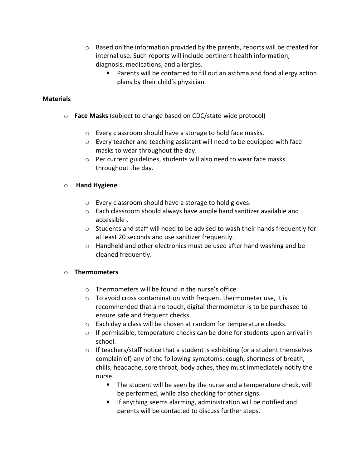- $\circ$  Based on the information provided by the parents, reports will be created for internal use. Such reports will include pertinent health information, diagnosis, medications, and allergies.
	- Parents will be contacted to fill out an asthma and food allergy action plans by their child's physician.

## **Materials**

- o **Face Masks** (subject to change based on CDC/state-wide protocol)
	- o Every classroom should have a storage to hold face masks.
	- $\circ$  Every teacher and teaching assistant will need to be equipped with face masks to wear throughout the day.
	- o Per current guidelines, students will also need to wear face masks throughout the day.

## o **Hand Hygiene**

- o Every classroom should have a storage to hold gloves.
- o Each classroom should always have ample hand sanitizer available and accessible .
- $\circ$  Students and staff will need to be advised to wash their hands frequently for at least 20 seconds and use sanitizer frequently.
- $\circ$  Handheld and other electronics must be used after hand washing and be cleaned frequently.

## o **Thermometers**

- o Thermometers will be found in the nurse's office.
- o To avoid cross contamination with frequent thermometer use, it is recommended that a no touch, digital thermometer is to be purchased to ensure safe and frequent checks.
- o Each day a class will be chosen at random for temperature checks.
- $\circ$  If permissible, temperature checks can be done for students upon arrival in school.
- $\circ$  If teachers/staff notice that a student is exhibiting (or a student themselves complain of) any of the following symptoms: cough, shortness of breath, chills, headache, sore throat, body aches, they must immediately notify the nurse.
	- The student will be seen by the nurse and a temperature check, will be performed, while also checking for other signs.
	- **■** If anything seems alarming, administration will be notified and parents will be contacted to discuss further steps.